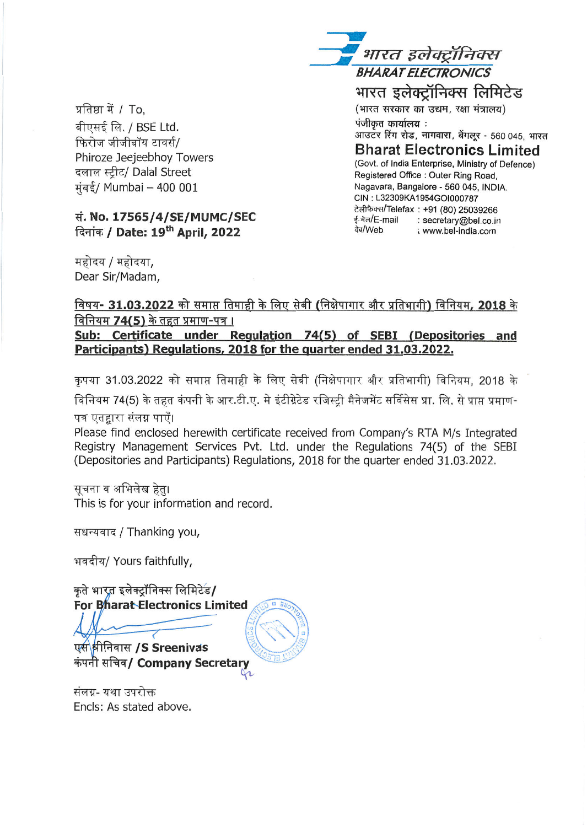प्रतिष्ठा में / To. बीएसई लि. / BSE Ltd. फिरोज जीजीबॉय टावर्स/ Phiroze Jeejeebhoy Towers दलाल स्टीट/ Dalal Street मंबई/ Mumbai - 400 001

## सं. No. 17565/4/SE/MUMC/SEC दिनांक / Date: 19<sup>th</sup> April, 2022

महोदय / महोदया. Dear Sir/Madam,

भारत इलेक्ट्रॉनिक्स **BHARAT ELECTRONICS** भारत इलेक्ट्रॉनिक्स लिमिटेड (भारत सरकार का उद्यम, रक्षा मंत्रालय) पंजीकत कार्यालय : आउटर रिंग रोड, नागवारा, बेंगलूर - 560 045, भारत **Bharat Electronics Limited** (Govt. of India Enterprise, Ministry of Defence) Registered Office : Outer Ring Road. Nagavara, Bangalore - 560 045, INDIA. CIN: L32309KA1954GOI000787 टेलीफैक्स/Telefax: +91 (80) 25039266 ई-मेल/E-mail : secretary@bel.co.in वेब/Web : www.bel-india.com

## विषय- 31.03.2022 को समाप्त तिमाही के लिए सेबी (निक्षेपागार और प्रतिभागी) विनियम, 2018 के विनियम 74(5) के तहत प्रमाण-पत्र ।

Sub: Certificate under Regulation 74(5) of SEBI (Depositories and Participants) Regulations, 2018 for the quarter ended 31.03.2022.

कृपया 31.03.2022 को समाप्त तिमाही के लिए सेबी (निक्षेपागार और प्रतिभागी) विनियम. 2018 के विनियम 74(5) के तहत कंपनी के आर.टी.ए. मे इंटीग्रेटेड रजिस्टी मैनेजमेंट सर्विसेस प्रा. लि. से प्राप्त प्रमाण-

पत्र एतद्दारा संलग्न पाएँ।

Please find enclosed herewith certificate received from Company's RTA M/s Integrated Registry Management Services Pvt. Ltd. under the Regulations 74(5) of the SEBI (Depositories and Participants) Regulations, 2018 for the quarter ended 31.03.2022.

सचना व अभिलेख हेत। This is for your information and record.

सधन्यवाद / Thanking you,

भवदीय/ Yours faithfully,

कृते भारत इलेक्ट्रॉनिक्स लिमिटेड/ For Bharat Electronics Limited

एस श्रीनिवास /S Sreenivas कंपनी सचिव/ Company Secretary

संलग्न- यथा उपरोक्त Encls: As stated above.